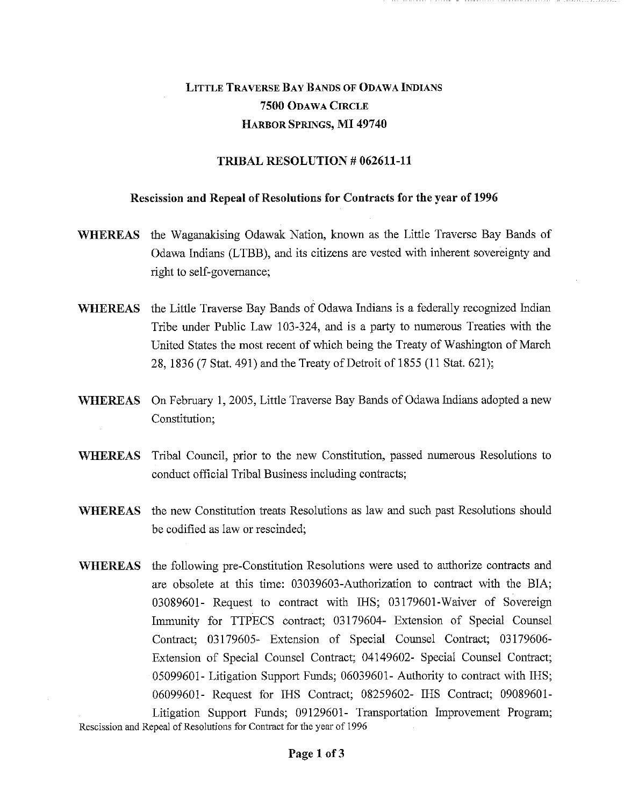## LITTLE TRAVERSE BAY BANDS OF ODAWA INDIANS 7500 ODAWA CIRCLE HARBOR SPRINGS, MI 49740

## TRIBAL RESOLUTION # 062611-11

## Rescission and Repeal of Resolutions for Contracts for the year of 1996

- WHEREAS the Waganakising Odawak Nation, known as the Little Traverse Bay Bands of Odawa Indians (LTBB), and its citizens are vested with inherent sovereignty and right to self-governance;
- WHEREAS the Little Traverse Bay Bands of Odawa Indians is a federally recognized Indian Tribe under Public Law 103-324, and is a party to numerous Treaties with the United States the most recent of which being the Treaty of Washington of March 28, 1836 (7 Stat. 491) and the Treaty of Detroit of 1855 (11 Stat. 621);
- WHEREAS On February 1, 2005, Little Traverse Bay Bands of Odawa Indians adopted a new Constitution;
- WHEREAS Tribal Council, prior to the new Constitution, passed numerous Resolutions to conduct official Tribal Business including contracts;
- WHEREAS the new Constitution treats Resolutions as law and such past Resolutions should be codified as law or rescinded;
- WHEREAS the following pre-Constitution Resolutions were used to authorize contracts and are obsolete at this time: 03039603-Authorization to contract with the BIA; 03089601- Request to contract with IHS; 03179601-Waiver of Sovereign Immunity for TTPECS contract; 03179604- Extension of Special Counsel Contract; 03179605- Extension of Special Counsel Contract; 03179606- Extension of Special Counsel Contract; 04149602- Special Counsel Contract; 05099601- Litigation Support Funds; 06039601- Authority to contract with IHS; 06099601- Request for IHS Contract; 08259602- IHS Contract; 09089601- Litigation Support Funds; 09129601- Transportation Improvement Program;

Rescission and Repeal of Resolutions for Contract for the year of 1996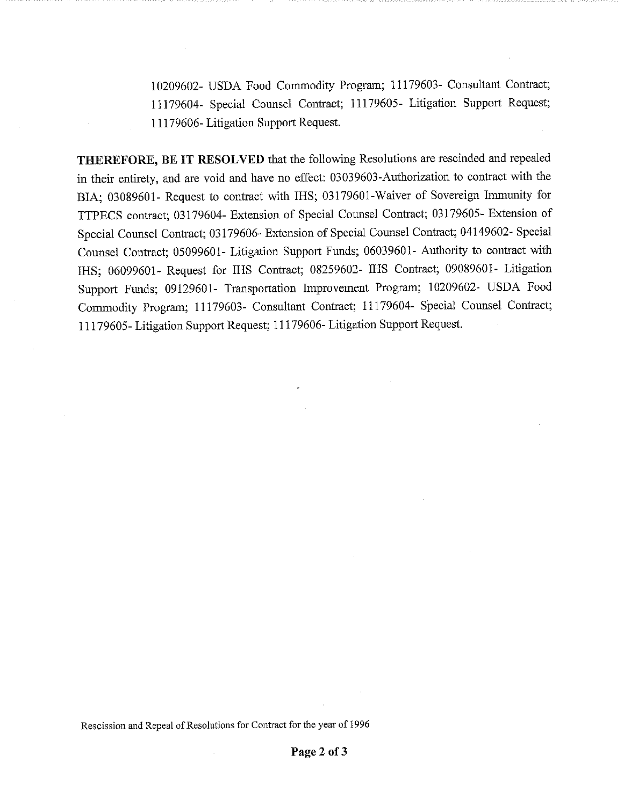10209602- USDA Food Commodity Program; 11179603- Consultant Contract; 11179604- Special Counsel Contract; 11179605- Litigation Support Request; 11179606- Litigation Support Request.

THEREFORE, BE IT RESOLVED that the following Resolutions are rescinded and repealed in their entirety, and are void and have no effect: 03039603-Authorization to contract with the BIA; 03089601- Request to contract with IHS; 03179601-Waiver of Sovereign Immunity for TTPECS contract; 03179604- Extension of Special Counsel Contract; 03179605- Extension of Special Counsel Contract; 03179606- Extension of Special Counsel Contract; 04149602- Special Counsel Contract; 05099601- Litigation Support Funds; 06039601- Authority to contract with IHS; 06099601- Request for IHS Contract; 08259602- IHS Contract; 09089601- Litigation Support Funds; 09129601- Transportation Improvement Program; 10209602- USDA Food Commodity Program; 11179603- Consultant Contract; 11179604- Special Counsel Contract; 11179605- Litigation Support Request; 11179606- Litigation Support Request.

Rescission and Repeal of Resolutions for Contract for the year of 1996